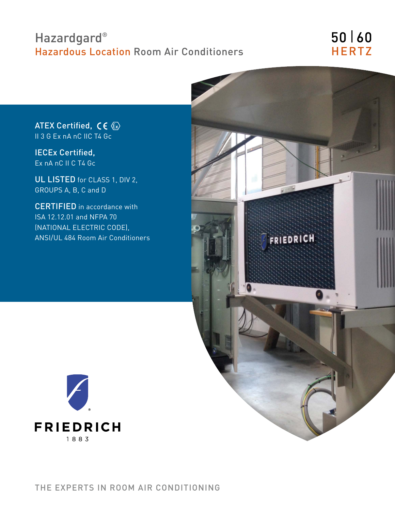# Hazardgard<sup>®</sup> Hazardous Location Room Air Conditioners

# 50 | 60 **HERTZ**

ATEX Certified,  $\mathsf{CE} \otimes$ II 3 G Ex nA nC IIC T4 Gc

IECEx Certified, Ex nA nC II C T4 Gc

UL LISTED for CLASS 1, DIV 2, GROUPS A, B, C and D

CERTIFIED in accordance with ISA 12.12.01 and NFPA 70 (NATIONAL ELECTRIC CODE), ANSI/UL 484 Room Air Conditioners



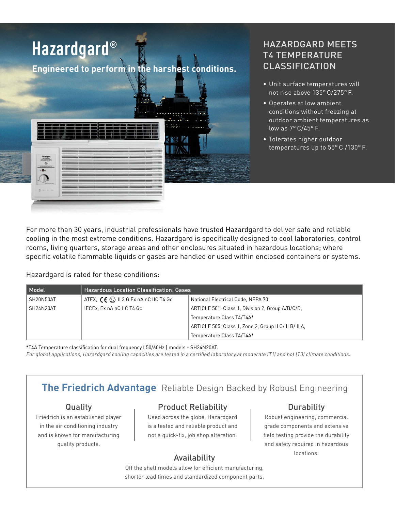

### HAZARDGARD MEETS T4 TEMPERATURE CLASSIFICATION

- Unit surface temperatures will not rise above 135° C/275° F.
- Operates at low ambient conditions without freezing at outdoor ambient temperatures as low as 7° C/45° F.
- Tolerates higher outdoor temperatures up to 55° C /130° F.

For more than 30 years, industrial professionals have trusted Hazardgard to deliver safe and reliable cooling in the most extreme conditions. Hazardgard is specifically designed to cool laboratories, control rooms, living quarters, storage areas and other enclosures situated in hazardous locations; where specific volatile flammable liquids or gases are handled or used within enclosed containers or systems.

Hazardgard is rated for these conditions:

| Model     | <b>Hazardous Location Classification: Gases</b>                          |                                                       |  |  |  |  |  |  |
|-----------|--------------------------------------------------------------------------|-------------------------------------------------------|--|--|--|--|--|--|
| SH20N50AT | ATEX, $C \in \langle \overline{\xi_x} \rangle$ II 3 G Ex nA nC IIC T4 Gc | National Electrical Code, NFPA 70                     |  |  |  |  |  |  |
| SH24N20AT | IECEx, Ex nA nC IIC T4 Gc                                                | ARTICLE 501: Class 1, Division 2, Group A/B/C/D,      |  |  |  |  |  |  |
|           |                                                                          | Temperature Class T4/T4A*                             |  |  |  |  |  |  |
|           |                                                                          | ARTICLE 505: Class 1, Zone 2, Group II C/ II B/ II A, |  |  |  |  |  |  |
|           |                                                                          | Temperature Class T4/T4A*                             |  |  |  |  |  |  |

\*T4A Temperature classification for dual frequency ( 50/60Hz ) models - SH24N20AT. For global applications, Hazardgard cooling capacities are tested in a certified laboratory at moderate (T1) and hot (T3) climate conditions.

## **The Friedrich Advantage** Reliable Design Backed by Robust Engineering

### Quality

Friedrich is an established player in the air conditioning industry and is known for manufacturing quality products.

### Product Reliability

Used across the globe, Hazardgard is a tested and reliable product and not a quick-fix, job shop alteration.

### Durability

Robust engineering, commercial grade components and extensive field testing provide the durability and safety required in hazardous Availability **Exercise Security** Locations.

Off the shelf models allow for efficient manufacturing, shorter lead times and standardized component parts.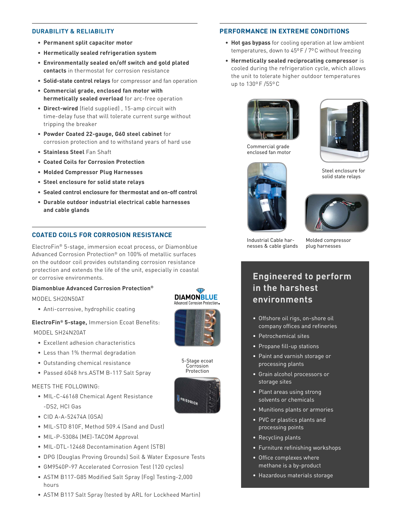#### **DURABILITY & RELIABILITY**

- **• Permanent split capacitor motor**
- **• Hermetically sealed refrigeration system**
- **• Environmentally sealed on/off switch and gold plated contacts** in thermostat for corrosion resistance
- **• Solid-state control relays** for compressor and fan operation
- **• Commercial grade, enclosed fan motor with hermetically sealed overload** for arc-free operation
- **• Direct-wired** (field supplied) , 15-amp circuit with time-delay fuse that will tolerate current surge without tripping the breaker
- **• Powder Coated 22-gauge, G60 steel cabinet** for corrosion protection and to withstand years of hard use
- **• Stainless Steel** Fan Shaft
- **• Coated Coils for Corrosion Protection**
- **• Molded Compressor Plug Harnesses**
- **• Steel enclosure for solid state relays**
- **• Sealed control enclosure for thermostat and on-off control**
- **• Durable outdoor industrial electrical cable harnesses and cable glands**

### **COATED COILS FOR CORROSION RESISTANCE**

ElectroFin® 5-stage, immersion ecoat process, or Diamonblue Advanced Corrosion Protection® on 100% of metallic surfaces on the outdoor coil provides outstanding corrosion resistance protection and extends the life of the unit, especially in coastal or corrosive environments.

#### **Diamonblue Advanced Corrosion Protection®**

MODEL SH20N50AT

• Anti-corrosive, hydrophilic coating

**ElectroFin® 5-stage,** Immersion Ecoat Benefits: MODEL SH24N20AT

- Excellent adhesion characteristics
- Less than 1% thermal degradation
- Outstanding chemical resistance
- Passed 6048 hrs.ASTM B-117 Salt Spray

#### MEETS THE FOLLOWING:

- MIL-C-46168 Chemical Agent Resistance -DS2, HCI Gas
- CID A-A-52474A (GSA)
- MIL-STD 810F, Method 509.4 (Sand and Dust)
- MIL-P-53084 (ME)-TACOM Approval
- MIL-DTL-12468 Decontamination Agent (STB)
- DPG (Douglas Proving Grounds) Soil & Water Exposure Tests
- GM9540P-97 Accelerated Corrosion Test (120 cycles)
- ASTM B117-G85 Modified Salt Spray (Fog) Testing-2,000 hours
- ASTM B117 Salt Spray (tested by ARL for Lockheed Martin)

# **DIAMONBLUE**



5-Stage ecoat Corrosion Protection



#### **PERFORMANCE IN EXTREME CONDITIONS**

- **• Hot gas bypass** for cooling operation at low ambient temperatures, down to 45ºF / 7ºC without freezing
- **• Hermetically sealed reciprocating compressor** is cooled during the refrigeration cycle, which allows the unit to tolerate higher outdoor temperatures up to 130ºF /55ºC



Commercial grade enclosed fan motor



Steel enclosure for solid state relays





Industrial Cable harnesses & cable glands

Molded compressor plug harnesses

### **Engineered to perform in the harshest environments**

- Offshore oil rigs, on-shore oil company offices and refineries
- Petrochemical sites
- Propane fill-up stations
- Paint and varnish storage or processing plants
- Grain alcohol processors or storage sites
- Plant areas using strong solvents or chemicals
- Munitions plants or armories
- PVC or plastics plants and processing points
- Recycling plants
- Furniture refinishing workshops
- Office complexes where methane is a by-product
- Hazardous materials storage